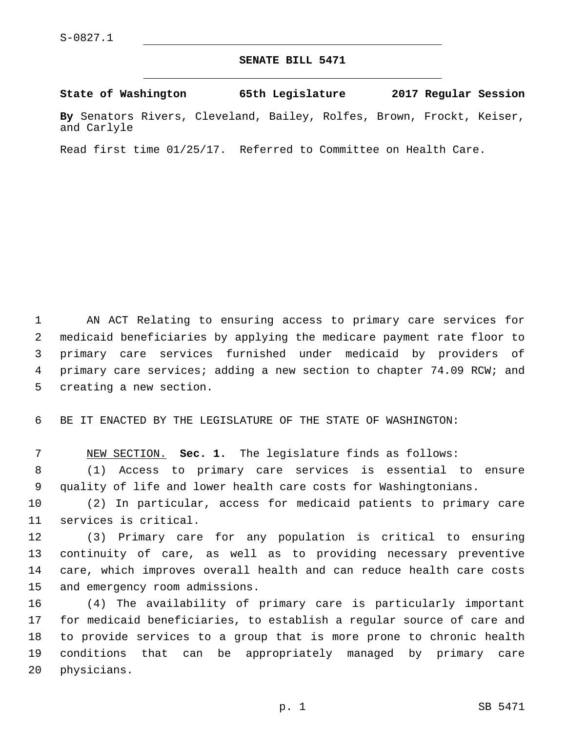## **SENATE BILL 5471**

**State of Washington 65th Legislature 2017 Regular Session**

**By** Senators Rivers, Cleveland, Bailey, Rolfes, Brown, Frockt, Keiser, and Carlyle

Read first time 01/25/17. Referred to Committee on Health Care.

 AN ACT Relating to ensuring access to primary care services for medicaid beneficiaries by applying the medicare payment rate floor to primary care services furnished under medicaid by providers of primary care services; adding a new section to chapter 74.09 RCW; and 5 creating a new section.

6 BE IT ENACTED BY THE LEGISLATURE OF THE STATE OF WASHINGTON:

7 NEW SECTION. **Sec. 1.** The legislature finds as follows:

8 (1) Access to primary care services is essential to ensure 9 quality of life and lower health care costs for Washingtonians.

10 (2) In particular, access for medicaid patients to primary care 11 services is critical.

 (3) Primary care for any population is critical to ensuring continuity of care, as well as to providing necessary preventive care, which improves overall health and can reduce health care costs 15 and emergency room admissions.

 (4) The availability of primary care is particularly important for medicaid beneficiaries, to establish a regular source of care and to provide services to a group that is more prone to chronic health conditions that can be appropriately managed by primary care 20 physicians.